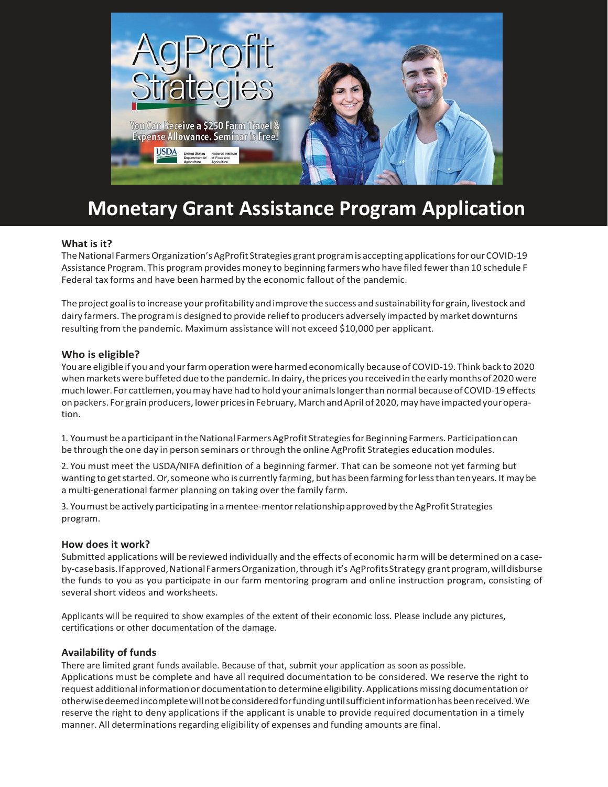

# **Monetary Grant Assistance Program Application**

## **What is it?**

The National Farmers Organization's AgProfit Strategies grant program is accepting applications for our COVID-19 Assistance Program. This program provides money to beginning farmers who have filed fewerthan 10 schedule F Federal tax forms and have been harmed by the economic fallout of the pandemic.

The project goal isto increase your profitability andimprovethe success andsustainability for grain, livestock and dairy farmers. The programis designed to provide reliefto producers adversely impacted bymarket downturns resulting from the pandemic. Maximum assistance will not exceed \$10,000 per applicant.

### **Who is eligible?**

You are eligible if you and your farm operation were harmed economically because of COVID-19. Think back to 2020 when markets were buffeted due to the pandemic. In dairy, the prices you received in the early months of 2020 were muchlower. For cattlemen, youmay have had to hold your animalslongerthan normal because ofCOVID-19 effects on packers. For grain producers, lower prices in February, March and April of 2020, may have impacted your operation.

1. You must be a participant in the National Farmers AgProfit Strategies for Beginning Farmers. Participation can be through the one day in person seminars or through the online AgProfit Strategies education modules.

2. You must meet the USDA/NIFA definition of a beginning farmer. That can be someone not yet farming but wanting to getstarted.Or,someone who is currently farming, but has beenfarming forlessthantenyears. It may be a multi-generational farmer planning on taking over the family farm.

3. You must be actively participating in a mentee-mentor relationship approved by the AgProfit Strategies program.

### **How does it work?**

Submitted applications will be reviewed individually and the effects of economic harm will be determined on a caseby-case basis. If approved, National Farmers Organization, through it's AgProfitsStrategy grant program, will disburse the funds to you as you participate in our farm mentoring program and online instruction program, consisting of several short videos and worksheets.

Applicants will be required to show examples of the extent of their economic loss. Please include any pictures, certifications or other documentation of the damage.

### **Availability of funds**

There are limited grant funds available. Because of that, submit your application as soon as possible. Applications must be complete and have all required documentation to be considered. We reserve the right to request additional informationor documentationto determineeligibility. Applications missing documentationor otherwisedeemedincompletewillnotbeconsideredforfundinguntilsufficientinformationhasbeenreceived.We reserve the right to deny applications if the applicant is unable to provide required documentation in a timely manner. All determinations regarding eligibility of expenses and funding amounts are final.